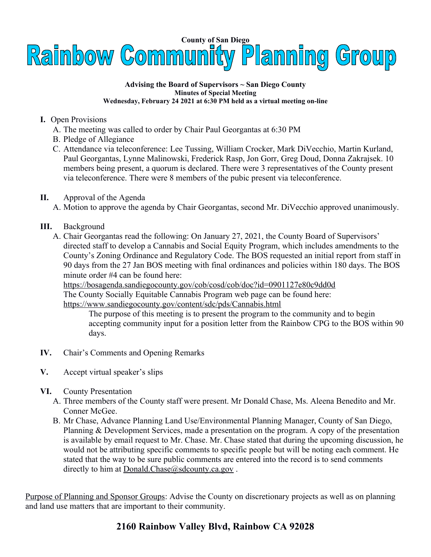

**Advising the Board of Supervisors ~ San Diego County Minutes of Special Meeting Wednesday, February 24 2021 at 6:30 PM held as a virtual meeting on-line**

- **I.** Open Provisions
	- A. The meeting was called to order by Chair Paul Georgantas at 6:30 PM
	- B. Pledge of Allegiance
	- C. Attendance via teleconference: Lee Tussing, William Crocker, Mark DiVecchio, Martin Kurland, Paul Georgantas, Lynne Malinowski, Frederick Rasp, Jon Gorr, Greg Doud, Donna Zakrajsek. 10 members being present, a quorum is declared. There were 3 representatives of the County present via teleconference. There were 8 members of the pubic present via teleconference.

## **II.** Approval of the Agenda

- A. Motion to approve the agenda by Chair Georgantas, second Mr. DiVecchio approved unanimously.
- **III.** Background
	- A. Chair Georgantas read the following: On January 27, 2021, the County Board of Supervisors' directed staff to develop a Cannabis and Social Equity Program, which includes amendments to the County's Zoning Ordinance and Regulatory Code. The BOS requested an initial report from staff in 90 days from the 27 Jan BOS meeting with final ordinances and policies within 180 days. The BOS minute order #4 can be found here:

<https://bosagenda.sandiegocounty.gov/cob/cosd/cob/doc?id=0901127e80c9dd0d> The County Socially Equitable Cannabis Program web page can be found here:

https://www.sandiegocounty.gov/content/sdc/pds/Cannabis.html

The purpose of this meeting is to present the program to the community and to begin accepting community input for a position letter from the Rainbow CPG to the BOS within 90 days.

- **IV.** Chair's Comments and Opening Remarks
- **V.** Accept virtual speaker's slips
- **VI.** County Presentation
	- A. Three members of the County staff were present. Mr Donald Chase, Ms. Aleena Benedito and Mr. Conner McGee.
	- B. Mr Chase, Advance Planning Land Use/Environmental Planning Manager, County of San Diego, Planning & Development Services, made a presentation on the program. A copy of the presentation is available by email request to Mr. Chase. Mr. Chase stated that during the upcoming discussion, he would not be attributing specific comments to specific people but will be noting each comment. He stated that the way to be sure public comments are entered into the record is to send comments directly to him at [Donald.Chase@sdcounty.ca.gov](mailto:Donald.Chase@sdcounty.ca.gov).

Purpose of Planning and Sponsor Groups: Advise the County on discretionary projects as well as on planning and land use matters that are important to their community.

# **2160 Rainbow Valley Blvd, Rainbow CA 92028**